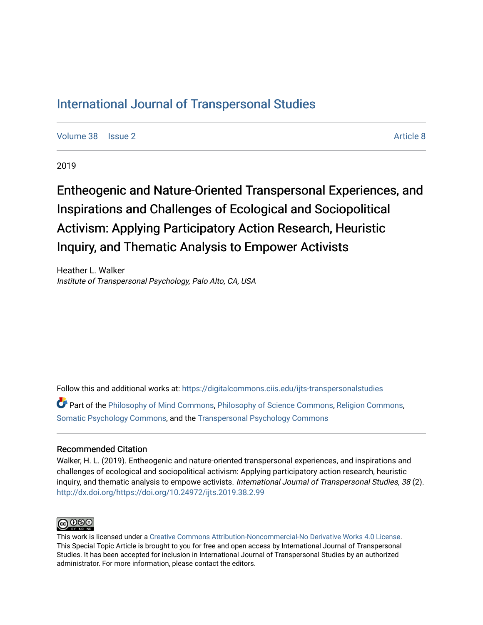## [International Journal of Transpersonal Studies](https://digitalcommons.ciis.edu/ijts-transpersonalstudies)

[Volume 38](https://digitalcommons.ciis.edu/ijts-transpersonalstudies/vol38) | [Issue 2](https://digitalcommons.ciis.edu/ijts-transpersonalstudies/vol38/iss2) [Article 8](https://digitalcommons.ciis.edu/ijts-transpersonalstudies/vol38/iss2/8) Article 8

2019

# Entheogenic and Nature-Oriented Transpersonal Experiences, and Inspirations and Challenges of Ecological and Sociopolitical Activism: Applying Participatory Action Research, Heuristic Inquiry, and Thematic Analysis to Empower Activists

Heather L. Walker Institute of Transpersonal Psychology, Palo Alto, CA, USA

Follow this and additional works at: [https://digitalcommons.ciis.edu/ijts-transpersonalstudies](https://digitalcommons.ciis.edu/ijts-transpersonalstudies?utm_source=digitalcommons.ciis.edu%2Fijts-transpersonalstudies%2Fvol38%2Fiss2%2F8&utm_medium=PDF&utm_campaign=PDFCoverPages) 

Part of the [Philosophy of Mind Commons](http://network.bepress.com/hgg/discipline/535?utm_source=digitalcommons.ciis.edu%2Fijts-transpersonalstudies%2Fvol38%2Fiss2%2F8&utm_medium=PDF&utm_campaign=PDFCoverPages), [Philosophy of Science Commons,](http://network.bepress.com/hgg/discipline/536?utm_source=digitalcommons.ciis.edu%2Fijts-transpersonalstudies%2Fvol38%2Fiss2%2F8&utm_medium=PDF&utm_campaign=PDFCoverPages) [Religion Commons](http://network.bepress.com/hgg/discipline/538?utm_source=digitalcommons.ciis.edu%2Fijts-transpersonalstudies%2Fvol38%2Fiss2%2F8&utm_medium=PDF&utm_campaign=PDFCoverPages), [Somatic Psychology Commons,](http://network.bepress.com/hgg/discipline/1431?utm_source=digitalcommons.ciis.edu%2Fijts-transpersonalstudies%2Fvol38%2Fiss2%2F8&utm_medium=PDF&utm_campaign=PDFCoverPages) and the [Transpersonal Psychology Commons](http://network.bepress.com/hgg/discipline/1388?utm_source=digitalcommons.ciis.edu%2Fijts-transpersonalstudies%2Fvol38%2Fiss2%2F8&utm_medium=PDF&utm_campaign=PDFCoverPages) 

### Recommended Citation

Walker, H. L. (2019). Entheogenic and nature-oriented transpersonal experiences, and inspirations and challenges of ecological and sociopolitical activism: Applying participatory action research, heuristic inquiry, and thematic analysis to empowe activists. International Journal of Transpersonal Studies, 38 (2). <http://dx.doi.org/https://doi.org/10.24972/ijts.2019.38.2.99>



This work is licensed under a [Creative Commons Attribution-Noncommercial-No Derivative Works 4.0 License.](https://creativecommons.org/licenses/by-nc-nd/4.0/) This Special Topic Article is brought to you for free and open access by International Journal of Transpersonal Studies. It has been accepted for inclusion in International Journal of Transpersonal Studies by an authorized administrator. For more information, please contact the editors.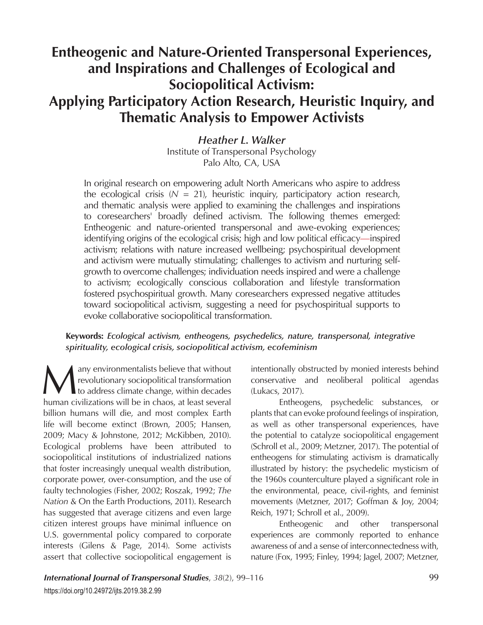## **Entheogenic and Nature-Oriented Transpersonal Experiences, and Inspirations and Challenges of Ecological and Sociopolitical Activism: Applying Participatory Action Research, Heuristic Inquiry, and Thematic Analysis to Empower Activists**

*Heather L. Walker* Institute of Transpersonal Psychology Palo Alto, CA, USA

In original research on empowering adult North Americans who aspire to address the ecological crisis  $(N = 21)$ , heuristic inquiry, participatory action research, and thematic analysis were applied to examining the challenges and inspirations to coresearchers' broadly defined activism. The following themes emerged: Entheogenic and nature-oriented transpersonal and awe-evoking experiences; identifying origins of the ecological crisis; high and low political efficacy—inspired activism; relations with nature increased wellbeing; psychospiritual development and activism were mutually stimulating; challenges to activism and nurturing selfgrowth to overcome challenges; individuation needs inspired and were a challenge to activism; ecologically conscious collaboration and lifestyle transformation fostered psychospiritual growth. Many coresearchers expressed negative attitudes toward sociopolitical activism, suggesting a need for psychospiritual supports to evoke collaborative sociopolitical transformation.

### **Keywords:** *Ecological activism, entheogens, psychedelics, nature, transpersonal, integrative spirituality, ecological crisis, sociopolitical activism, ecofeminism*

Many environmentalists believe that without<br>revolutionary sociopolitical transformation<br>to address climate change, within decades<br>human civilizations will be in chaos, at least several revolutionary sociopolitical transformation to address climate change, within decades human civilizations will be in chaos, at least several billion humans will die, and most complex Earth life will become extinct (Brown, 2005; Hansen, 2009; Macy & Johnstone, 2012; McKibben, 2010). Ecological problems have been attributed to sociopolitical institutions of industrialized nations that foster increasingly unequal wealth distribution, corporate power, over-consumption, and the use of faulty technologies (Fisher, 2002; Roszak, 1992; *The Nation* & On the Earth Productions, 2011). Research has suggested that average citizens and even large citizen interest groups have minimal influence on U.S. governmental policy compared to corporate interests (Gilens & Page, 2014). Some activists assert that collective sociopolitical engagement is

intentionally obstructed by monied interests behind conservative and neoliberal political agendas (Lukacs, 2017).

Entheogens, psychedelic substances, or plants that can evoke profound feelings of inspiration, as well as other transpersonal experiences, have the potential to catalyze sociopolitical engagement (Schroll et al., 2009; Metzner, 2017). The potential of entheogens for stimulating activism is dramatically illustrated by history: the psychedelic mysticism of the 1960s counterculture played a significant role in the environmental, peace, civil-rights, and feminist movements (Metzner, 2017; Goffman & Joy, 2004; Reich, 1971; Schroll et al., 2009).

Entheogenic and other transpersonal experiences are commonly reported to enhance awareness of and a sense of interconnectedness with, nature (Fox, 1995; Finley, 1994; Jagel, 2007; Metzner,

**International Journal of Transpersonal Studies**, 38(2), 99-116 **Studies** 38(2), 99-116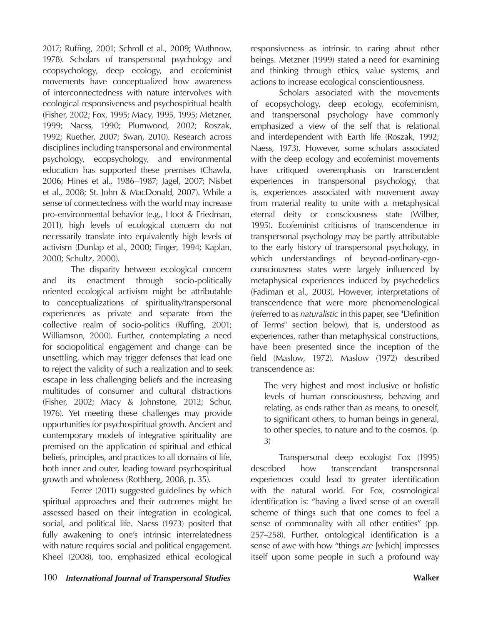2017; Ruffing, 2001; Schroll et al., 2009; Wuthnow, 1978). Scholars of transpersonal psychology and ecopsychology, deep ecology, and ecofeminist movements have conceptualized how awareness of interconnectedness with nature intervolves with ecological responsiveness and psychospiritual health (Fisher, 2002; Fox, 1995; Macy, 1995, 1995; Metzner, 1999; Naess, 1990; Plumwood, 2002; Roszak, 1992; Ruether, 2007; Swan, 2010). Research across disciplines including transpersonal and environmental psychology, ecopsychology, and environmental education has supported these premises (Chawla, 2006; Hines et al., 1986–1987; Jagel, 2007; Nisbet et al., 2008; St. John & MacDonald, 2007). While a sense of connectedness with the world may increase pro-environmental behavior (e.g., Hoot & Friedman, 2011), high levels of ecological concern do not necessarily translate into equivalently high levels of activism (Dunlap et al., 2000; Finger, 1994; Kaplan, 2000; Schultz, 2000).

The disparity between ecological concern and its enactment through socio-politically oriented ecological activism might be attributable to conceptualizations of spirituality/transpersonal experiences as private and separate from the collective realm of socio-politics (Ruffing, 2001; Williamson, 2000). Further, contemplating a need for sociopolitical engagement and change can be unsettling, which may trigger defenses that lead one to reject the validity of such a realization and to seek escape in less challenging beliefs and the increasing multitudes of consumer and cultural distractions (Fisher, 2002; Macy & Johnstone, 2012; Schur, 1976). Yet meeting these challenges may provide opportunities for psychospiritual growth. Ancient and contemporary models of integrative spirituality are premised on the application of spiritual and ethical beliefs, principles, and practices to all domains of life, both inner and outer, leading toward psychospiritual growth and wholeness (Rothberg, 2008, p. 35).

Ferrer (2011) suggested guidelines by which spiritual approaches and their outcomes might be assessed based on their integration in ecological, social, and political life. Naess (1973) posited that fully awakening to one's intrinsic interrelatedness with nature requires social and political engagement. Kheel (2008), too, emphasized ethical ecological

responsiveness as intrinsic to caring about other beings. Metzner (1999) stated a need for examining and thinking through ethics, value systems, and actions to increase ecological conscientiousness.

Scholars associated with the movements of ecopsychology, deep ecology, ecofeminism, and transpersonal psychology have commonly emphasized a view of the self that is relational and interdependent with Earth life (Roszak, 1992; Naess, 1973). However, some scholars associated with the deep ecology and ecofeminist movements have critiqued overemphasis on transcendent experiences in transpersonal psychology, that is, experiences associated with movement away from material reality to unite with a metaphysical eternal deity or consciousness state (Wilber, 1995). Ecofeminist criticisms of transcendence in transpersonal psychology may be partly attributable to the early history of transpersonal psychology, in which understandings of beyond-ordinary-egoconsciousness states were largely influenced by metaphysical experiences induced by psychedelics (Fadiman et al., 2003). However, interpretations of transcendence that were more phenomenological (referred to as *naturalistic* in this paper, see "Definition of Terms" section below), that is, understood as experiences, rather than metaphysical constructions, have been presented since the inception of the field (Maslow, 1972). Maslow (1972) described transcendence as:

The very highest and most inclusive or holistic levels of human consciousness, behaving and relating, as ends rather than as means, to oneself, to significant others, to human beings in general, to other species, to nature and to the cosmos. (p. 3)

Transpersonal deep ecologist Fox (1995) described how transcendant transpersonal experiences could lead to greater identification with the natural world. For Fox, cosmological identification is: "having a lived sense of an overall scheme of things such that one comes to feel a sense of commonality with all other entities" (pp. 257–258). Further, ontological identification is a sense of awe with how "things *are* [which] impresses itself upon some people in such a profound way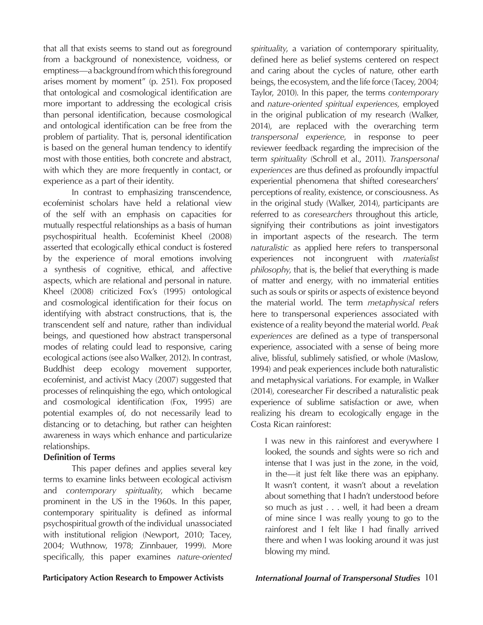that all that exists seems to stand out as foreground from a background of nonexistence, voidness, or emptiness—a background from which this foreground arises moment by moment" (p. 251). Fox proposed that ontological and cosmological identification are more important to addressing the ecological crisis than personal identification, because cosmological and ontological identification can be free from the problem of partiality. That is, personal identification is based on the general human tendency to identify most with those entities, both concrete and abstract, with which they are more frequently in contact, or experience as a part of their identity.

In contrast to emphasizing transcendence, ecofeminist scholars have held a relational view of the self with an emphasis on capacities for mutually respectful relationships as a basis of human psychospiritual health. Ecofeminist Kheel (2008) asserted that ecologically ethical conduct is fostered by the experience of moral emotions involving a synthesis of cognitive, ethical, and affective aspects, which are relational and personal in nature. Kheel (2008) criticized Fox's (1995) ontological and cosmological identification for their focus on identifying with abstract constructions, that is, the transcendent self and nature, rather than individual beings, and questioned how abstract transpersonal modes of relating could lead to responsive, caring ecological actions (see also Walker, 2012). In contrast, Buddhist deep ecology movement supporter, ecofeminist, and activist Macy (2007) suggested that processes of relinquishing the ego, which ontological and cosmological identification (Fox, 1995) are potential examples of, do not necessarily lead to distancing or to detaching, but rather can heighten awareness in ways which enhance and particularize relationships.

### **Definition of Terms**

This paper defines and applies several key terms to examine links between ecological activism and *contemporary spirituality*, which became prominent in the US in the 1960s. In this paper, contemporary spirituality is defined as informal psychospiritual growth of the individual unassociated with institutional religion (Newport, 2010; Tacey, 2004; Wuthnow, 1978; Zinnbauer, 1999). More specifically, this paper examines *nature-oriented* 

*spirituality*, a variation of contemporary spirituality, defined here as belief systems centered on respect and caring about the cycles of nature, other earth beings, the ecosystem, and the life force (Tacey, 2004; Taylor, 2010). In this paper, the terms *contemporary* and *nature-oriented spiritual experiences,* employed in the original publication of my research (Walker, 2014), are replaced with the overarching term *transpersonal experience*, in response to peer reviewer feedback regarding the imprecision of the term *spirituality* (Schroll et al., 2011). *Transpersonal experiences* are thus defined as profoundly impactful experiential phenomena that shifted coresearchers' perceptions of reality, existence, or consciousness. As in the original study (Walker, 2014), participants are referred to as *coresearchers* throughout this article, signifying their contributions as joint investigators in important aspects of the research. The term *naturalistic* as applied here refers to transpersonal experiences not incongruent with *materialist philosophy*, that is, the belief that everything is made of matter and energy, with no immaterial entities such as souls or spirits or aspects of existence beyond the material world. The term *metaphysical* refers here to transpersonal experiences associated with existence of a reality beyond the material world. *Peak experiences* are defined as a type of transpersonal experience, associated with a sense of being more alive, blissful, sublimely satisfied, or whole (Maslow, 1994) and peak experiences include both naturalistic and metaphysical variations. For example, in Walker (2014), coresearcher Fir described a naturalistic peak experience of sublime satisfaction or awe, when realizing his dream to ecologically engage in the Costa Rican rainforest:

I was new in this rainforest and everywhere I looked, the sounds and sights were so rich and intense that I was just in the zone, in the void, in the—it just felt like there was an epiphany. It wasn't content, it wasn't about a revelation about something that I hadn't understood before so much as just . . . well, it had been a dream of mine since I was really young to go to the rainforest and I felt like I had finally arrived there and when I was looking around it was just blowing my mind.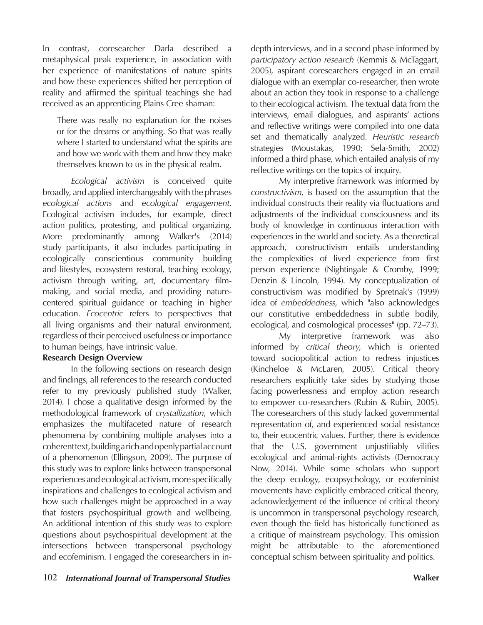In contrast, coresearcher Darla described a metaphysical peak experience, in association with her experience of manifestations of nature spirits and how these experiences shifted her perception of reality and affirmed the spiritual teachings she had received as an apprenticing Plains Cree shaman:

There was really no explanation for the noises or for the dreams or anything. So that was really where I started to understand what the spirits are and how we work with them and how they make themselves known to us in the physical realm.

*Ecological activism* is conceived quite broadly, and applied interchangeably with the phrases *ecological actions* and *ecological engagement*. Ecological activism includes, for example, direct action politics, protesting, and political organizing. More predominantly among Walker's (2014) study participants, it also includes participating in ecologically conscientious community building and lifestyles, ecosystem restoral, teaching ecology, activism through writing, art, documentary filmmaking, and social media, and providing naturecentered spiritual guidance or teaching in higher education. *Ecocentric* refers to perspectives that all living organisms and their natural environment, regardless of their perceived usefulness or importance to human beings, have intrinsic value.

### **Research Design Overview**

In the following sections on research design and findings, all references to the research conducted refer to my previously published study (Walker, 2014). I chose a qualitative design informed by the methodological framework of *crystallization*, which emphasizes the multifaceted nature of research phenomena by combining multiple analyses into a coherent text, building a rich and openly partial account of a phenomenon (Ellingson, 2009). The purpose of this study was to explore links between transpersonal experiences and ecological activism, more specifically inspirations and challenges to ecological activism and how such challenges might be approached in a way that fosters psychospiritual growth and wellbeing. An additional intention of this study was to explore questions about psychospiritual development at the intersections between transpersonal psychology and ecofeminism. I engaged the coresearchers in indepth interviews, and in a second phase informed by *participatory action research* (Kemmis & McTaggart, 2005), aspirant coresearchers engaged in an email dialogue with an exemplar co-researcher, then wrote about an action they took in response to a challenge to their ecological activism. The textual data from the interviews, email dialogues, and aspirants' actions and reflective writings were compiled into one data set and thematically analyzed. *Heuristic research* strategies (Moustakas, 1990; Sela-Smith, 2002) informed a third phase, which entailed analysis of my reflective writings on the topics of inquiry.

My interpretive framework was informed by *constructivism*, is based on the assumption that the individual constructs their reality via fluctuations and adjustments of the individual consciousness and its body of knowledge in continuous interaction with experiences in the world and society. As a theoretical approach, constructivism entails understanding the complexities of lived experience from first person experience (Nightingale & Cromby, 1999; Denzin & Lincoln, 1994). My conceptualization of constructivism was modified by Spretnak's (1999) idea of *embeddedness*, which "also acknowledges our constitutive embeddedness in subtle bodily, ecological, and cosmological processes" (pp. 72–73).

My interpretive framework was also informed by *critical theory*, which is oriented toward sociopolitical action to redress injustices (Kincheloe & McLaren, 2005). Critical theory researchers explicitly take sides by studying those facing powerlessness and employ action research to empower co-researchers (Rubin & Rubin, 2005). The coresearchers of this study lacked governmental representation of, and experienced social resistance to, their ecocentric values. Further, there is evidence that the U.S. government unjustifiably vilifies ecological and animal-rights activists (Democracy Now, 2014). While some scholars who support the deep ecology, ecopsychology, or ecofeminist movements have explicitly embraced critical theory, acknowledgement of the influence of critical theory is uncommon in transpersonal psychology research, even though the field has historically functioned as a critique of mainstream psychology. This omission might be attributable to the aforementioned conceptual schism between spirituality and politics.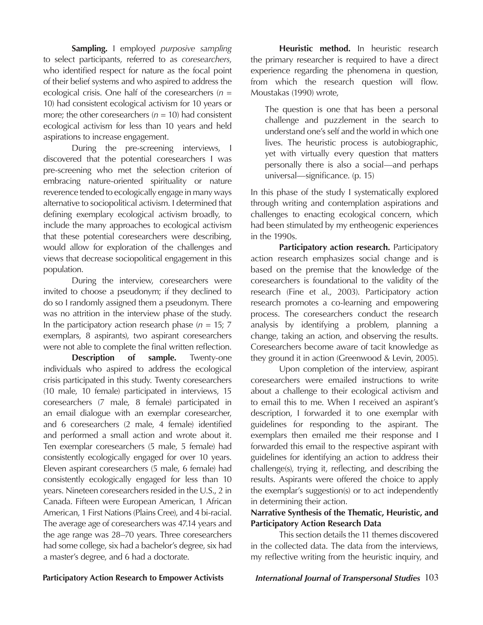**Sampling.** I employed *purposive sampling*  to select participants, referred to as *coresearchers*, who identified respect for nature as the focal point of their belief systems and who aspired to address the ecological crisis. One half of the coresearchers  $(n =$ 10) had consistent ecological activism for 10 years or more; the other coresearchers  $(n = 10)$  had consistent ecological activism for less than 10 years and held aspirations to increase engagement.

During the pre-screening interviews, I discovered that the potential coresearchers I was pre-screening who met the selection criterion of embracing nature-oriented spirituality or nature reverence tended to ecologically engage in many ways alternative to sociopolitical activism. I determined that defining exemplary ecological activism broadly, to include the many approaches to ecological activism that these potential coresearchers were describing, would allow for exploration of the challenges and views that decrease sociopolitical engagement in this population.

During the interview, coresearchers were invited to choose a pseudonym; if they declined to do so I randomly assigned them a pseudonym. There was no attrition in the interview phase of the study. In the participatory action research phase (*n* = 15; 7 exemplars, 8 aspirants), two aspirant coresearchers were not able to complete the final written reflection.

**Description of sample.** Twenty-one individuals who aspired to address the ecological crisis participated in this study. Twenty coresearchers (10 male, 10 female) participated in interviews, 15 coresearchers (7 male, 8 female) participated in an email dialogue with an exemplar coresearcher, and 6 coresearchers (2 male, 4 female) identified and performed a small action and wrote about it. Ten exemplar coresearchers (5 male, 5 female) had consistently ecologically engaged for over 10 years. Eleven aspirant coresearchers (5 male, 6 female) had consistently ecologically engaged for less than 10 years. Nineteen coresearchers resided in the U.S., 2 in Canada. Fifteen were European American, 1 African American, 1 First Nations (Plains Cree), and 4 bi-racial. The average age of coresearchers was 47.14 years and the age range was 28–70 years. Three coresearchers had some college, six had a bachelor's degree, six had a master's degree, and 6 had a doctorate.

**Heuristic method.** In heuristic research the primary researcher is required to have a direct experience regarding the phenomena in question, from which the research question will flow. Moustakas (1990) wrote,

The question is one that has been a personal challenge and puzzlement in the search to understand one's self and the world in which one lives. The heuristic process is autobiographic, yet with virtually every question that matters personally there is also a social—and perhaps universal—significance. (p. 15)

In this phase of the study I systematically explored through writing and contemplation aspirations and challenges to enacting ecological concern, which had been stimulated by my entheogenic experiences in the 1990s.

**Participatory action research.** Participatory action research emphasizes social change and is based on the premise that the knowledge of the coresearchers is foundational to the validity of the research (Fine et al., 2003). Participatory action research promotes a co-learning and empowering process. The coresearchers conduct the research analysis by identifying a problem, planning a change, taking an action, and observing the results. Coresearchers become aware of tacit knowledge as they ground it in action (Greenwood & Levin, 2005).

Upon completion of the interview, aspirant coresearchers were emailed instructions to write about a challenge to their ecological activism and to email this to me. When I received an aspirant's description, I forwarded it to one exemplar with guidelines for responding to the aspirant. The exemplars then emailed me their response and I forwarded this email to the respective aspirant with guidelines for identifying an action to address their challenge(s), trying it, reflecting, and describing the results. Aspirants were offered the choice to apply the exemplar's suggestion(s) or to act independently in determining their action.

### **Narrative Synthesis of the Thematic, Heuristic, and Participatory Action Research Data**

This section details the 11 themes discovered in the collected data. The data from the interviews, my reflective writing from the heuristic inquiry, and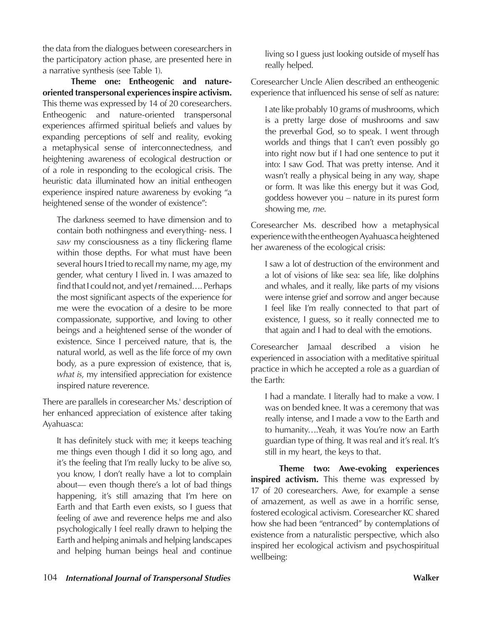the data from the dialogues between coresearchers in the participatory action phase, are presented here in a narrative synthesis (see Table 1).

**Theme one: Entheogenic and natureoriented transpersonal experiences inspire activism.**  This theme was expressed by 14 of 20 coresearchers. Entheogenic and nature-oriented transpersonal experiences affirmed spiritual beliefs and values by expanding perceptions of self and reality, evoking a metaphysical sense of interconnectedness, and heightening awareness of ecological destruction or of a role in responding to the ecological crisis. The heuristic data illuminated how an initial entheogen experience inspired nature awareness by evoking "a heightened sense of the wonder of existence":

The darkness seemed to have dimension and to contain both nothingness and everything- ness. I *saw* my consciousness as a tiny flickering flame within those depths. For what must have been several hours I tried to recall my name, my age, my gender, what century I lived in. I was amazed to find that I could not, and yet *I* remained…. Perhaps the most significant aspects of the experience for me were the evocation of a desire to be more compassionate, supportive, and loving to other beings and a heightened sense of the wonder of existence. Since I perceived nature, that is, the natural world, as well as the life force of my own body, as a pure expression of existence, that is, *what is*, my intensified appreciation for existence inspired nature reverence.

There are parallels in coresearcher Ms.' description of her enhanced appreciation of existence after taking Ayahuasca:

It has definitely stuck with me; it keeps teaching me things even though I did it so long ago, and it's the feeling that I'm really lucky to be alive so, you know, I don't really have a lot to complain about— even though there's a lot of bad things happening, it's still amazing that I'm here on Earth and that Earth even exists, so I guess that feeling of awe and reverence helps me and also psychologically I feel really drawn to helping the Earth and helping animals and helping landscapes and helping human beings heal and continue

living so I guess just looking outside of myself has really helped.

Coresearcher Uncle Alien described an entheogenic experience that influenced his sense of self as nature:

I ate like probably 10 grams of mushrooms, which is a pretty large dose of mushrooms and saw the preverbal God, so to speak. I went through worlds and things that I can't even possibly go into right now but if I had one sentence to put it into: I saw God. That was pretty intense. And it wasn't really a physical being in any way, shape or form. It was like this energy but it was God, goddess however you – nature in its purest form showing me, *me*.

Coresearcher Ms. described how a metaphysical experience with the entheogen Ayahuasca heightened her awareness of the ecological crisis:

I saw a lot of destruction of the environment and a lot of visions of like sea: sea life, like dolphins and whales, and it really, like parts of my visions were intense grief and sorrow and anger because I feel like I'm really connected to that part of existence, I guess, so it really connected me to that again and I had to deal with the emotions.

Coresearcher Jamaal described a vision he experienced in association with a meditative spiritual practice in which he accepted a role as a guardian of the Earth:

I had a mandate. I literally had to make a vow. I was on bended knee. It was a ceremony that was really intense, and I made a vow to the Earth and to humanity….Yeah, it was You're now an Earth guardian type of thing. It was real and it's real. It's still in my heart, the keys to that.

**Theme two: Awe-evoking experiences inspired activism.** This theme was expressed by 17 of 20 coresearchers. Awe, for example a sense of amazement, as well as awe in a horrific sense, fostered ecological activism. Coresearcher KC shared how she had been "entranced" by contemplations of existence from a naturalistic perspective, which also inspired her ecological activism and psychospiritual wellbeing: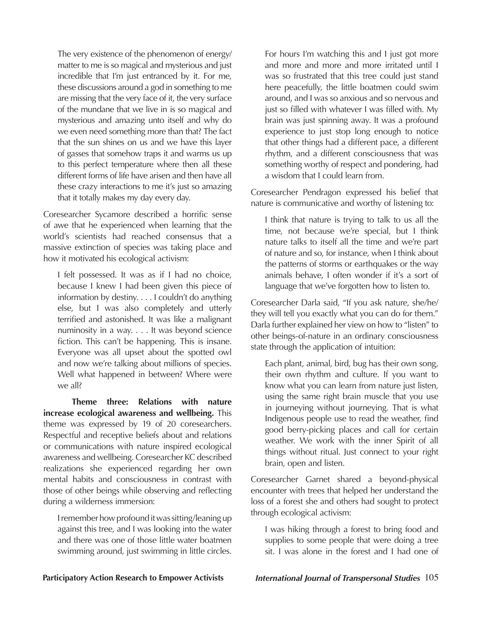The very existence of the phenomenon of energy/ matter to me is so magical and mysterious and just incredible that I'm just entranced by it. For me, these discussions around a god in something to me are missing that the very face of it, the very surface of the mundane that we live in is so magical and mysterious and amazing unto itself and why do we even need something more than that? The fact that the sun shines on us and we have this layer of gasses that somehow traps it and warms us up to this perfect temperature where then all these different forms of life have arisen and then have all these crazy interactions to me it's just so amazing that it totally makes my day every day.

Coresearcher Sycamore described a horrific sense of awe that he experienced when learning that the world's scientists had reached consensus that a massive extinction of species was taking place and how it motivated his ecological activism:

I felt possessed. It was as if I had no choice, because I knew I had been given this piece of information by destiny. . . . I couldn't do anything else, but I was also completely and utterly terrified and astonished. It was like a malignant numinosity in a way. . . . It was beyond science fiction. This can't be happening. This is insane. Everyone was all upset about the spotted owl and now we're talking about millions of species. Well what happened in between? Where were we all?

**Theme three: Relations with nature increase ecological awareness and wellbeing.** This theme was expressed by 19 of 20 coresearchers. Respectful and receptive beliefs about and relations or communications with nature inspired ecological awareness and wellbeing. Coresearcher KC described realizations she experienced regarding her own mental habits and consciousness in contrast with those of other beings while observing and reflecting during a wilderness immersion:

I remember how profound it was sitting/leaning up against this tree, and I was looking into the water and there was one of those little water boatmen swimming around, just swimming in little circles. For hours I'm watching this and I just got more and more and more and more irritated until I was so frustrated that this tree could just stand here peacefully, the little boatmen could swim around, and I was so anxious and so nervous and just so filled with whatever I was filled with. My brain was just spinning away. It was a profound experience to just stop long enough to notice that other things had a different pace, a different rhythm, and a different consciousness that was something worthy of respect and pondering, had a wisdom that I could learn from.

Coresearcher Pendragon expressed his belief that nature is communicative and worthy of listening to:

I think that nature is trying to talk to us all the time, not because we're special, but I think nature talks to itself all the time and we're part of nature and so, for instance, when I think about the patterns of storms or earthquakes or the way animals behave, I often wonder if it's a sort of language that we've forgotten how to listen to.

Coresearcher Darla said, "If you ask nature, she/he/ they will tell you exactly what you can do for them." Darla further explained her view on how to "listen" to other beings-of-nature in an ordinary consciousness state through the application of intuition:

Each plant, animal, bird, bug has their own song, their own rhythm and culture. If you want to know what you can learn from nature just listen, using the same right brain muscle that you use in journeying without journeying. That is what Indigenous people use to read the weather, find good berry-picking places and call for certain weather. We work with the inner Spirit of all things without ritual. Just connect to your right brain, open and listen.

Coresearcher Garnet shared a beyond-physical encounter with trees that helped her understand the loss of a forest she and others had sought to protect through ecological activism:

I was hiking through a forest to bring food and supplies to some people that were doing a tree sit. I was alone in the forest and I had one of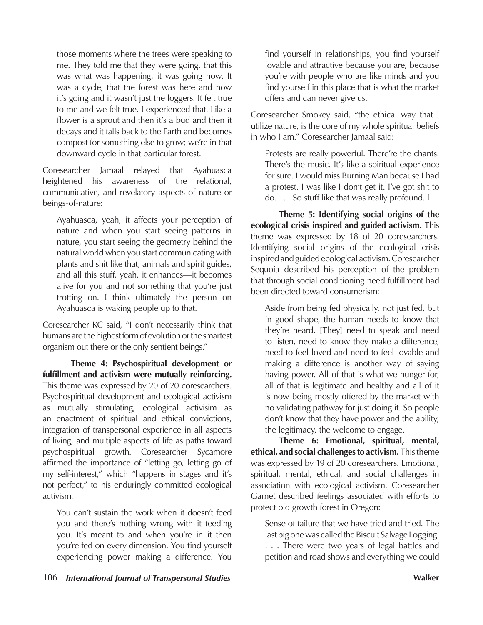those moments where the trees were speaking to me. They told me that they were going, that this was what was happening, it was going now. It was a cycle, that the forest was here and now it's going and it wasn't just the loggers. It felt true to me and we felt true. I experienced that. Like a flower is a sprout and then it's a bud and then it decays and it falls back to the Earth and becomes compost for something else to grow; we're in that downward cycle in that particular forest.

Coresearcher Jamaal relayed that Ayahuasca heightened his awareness of the relational, communicative, and revelatory aspects of nature or beings-of-nature:

Ayahuasca, yeah, it affects your perception of nature and when you start seeing patterns in nature, you start seeing the geometry behind the natural world when you start communicating with plants and shit like that, animals and spirit guides, and all this stuff, yeah, it enhances—it becomes alive for you and not something that you're just trotting on. I think ultimately the person on Ayahuasca is waking people up to that.

Coresearcher KC said, "I don't necessarily think that humans are the highest form of evolution or the smartest organism out there or the only sentient beings."

**Theme 4: Psychospiritual development or fulfillment and activism were mutually reinforcing.**  This theme was expressed by 20 of 20 coresearchers. Psychospiritual development and ecological activism as mutually stimulating, ecological activisim as an enactment of spiritual and ethical convictions, integration of transpersonal experience in all aspects of living, and multiple aspects of life as paths toward psychospiritual growth. Coresearcher Sycamore affirmed the importance of "letting go, letting go of my self-interest," which "happens in stages and it's not perfect," to his enduringly committed ecological activism:

You can't sustain the work when it doesn't feed you and there's nothing wrong with it feeding you. It's meant to and when you're in it then you're fed on every dimension. You find yourself experiencing power making a difference. You

find yourself in relationships, you find yourself lovable and attractive because you are, because you're with people who are like minds and you find yourself in this place that is what the market offers and can never give us.

Coresearcher Smokey said, "the ethical way that I utilize nature, is the core of my whole spiritual beliefs in who I am." Coresearcher Jamaal said:

Protests are really powerful. There're the chants. There's the music. It's like a spiritual experience for sure. I would miss Burning Man because I had a protest. I was like I don't get it. I've got shit to do. . . . So stuff like that was really profound. l

**Theme 5: Identifying social origins of the ecological crisis inspired and guided activism.** This theme wa**s** expressed by 18 of 20 coresearchers. Identifying social origins of the ecological crisis inspired and guided ecological activism. Coresearcher Sequoia described his perception of the problem that through social conditioning need fulfillment had been directed toward consumerism:

Aside from being fed physically, not just fed, but in good shape, the human needs to know that they're heard. [They] need to speak and need to listen, need to know they make a difference, need to feel loved and need to feel lovable and making a difference is another way of saying having power. All of that is what we hunger for, all of that is legitimate and healthy and all of it is now being mostly offered by the market with no validating pathway for just doing it. So people don't know that they have power and the ability, the legitimacy, the welcome to engage.

**Theme 6: Emotional, spiritual, mental, ethical, and social challenges to activism.** This theme was expressed by 19 of 20 coresearchers. Emotional, spiritual, mental, ethical, and social challenges in association with ecological activism. Coresearcher Garnet described feelings associated with efforts to protect old growth forest in Oregon:

Sense of failure that we have tried and tried. The last big one was called the Biscuit Salvage Logging. . . . There were two years of legal battles and petition and road shows and everything we could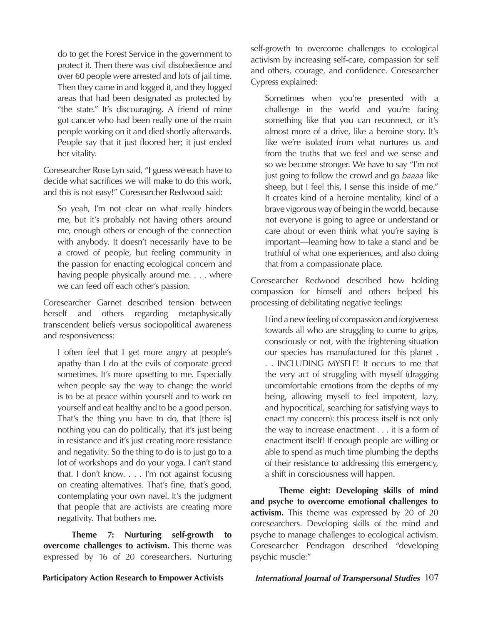do to get the Forest Service in the government to protect it. Then there was civil disobedience and over 60 people were arrested and lots of jail time. Then they came in and logged it, and they logged areas that had been designated as protected by "the state." It's discouraging. A friend of mine got cancer who had been really one of the main people working on it and died shortly afterwards. People say that it just floored her; it just ended her vitality.

Coresearcher Rose Lyn said, "I guess we each have to decide what sacrifices we will make to do this work, and this is not easy!" Coresearcher Redwood said:

So yeah, I'm not clear on what really hinders me, but it's probably not having others around me, enough others or enough of the connection with anybody. It doesn't necessarily have to be a crowd of people, but feeling community in the passion for enacting ecological concern and having people physically around me. . . . where we can feed off each other's passion.

Coresearcher Garnet described tension between herself and others regarding metaphysically transcendent beliefs versus sociopolitical awareness and responsiveness:

I often feel that I get more angry at people's apathy than I do at the evils of corporate greed sometimes. It's more upsetting to me. Especially when people say the way to change the world is to be at peace within yourself and to work on yourself and eat healthy and to be a good person. That's the thing you have to do, that [there is] nothing you can do politically, that it's just being in resistance and it's just creating more resistance and negativity. So the thing to do is to just go to a lot of workshops and do your yoga. I can't stand that. I don't know. . . . I'm not against focusing on creating alternatives. That's fine, that's good, contemplating your own navel. It's the judgment that people that are activists are creating more negativity. That bothers me.

**Theme 7: Nurturing self-growth to overcome challenges to activism.** This theme was expressed by 16 of 20 coresearchers. Nurturing self-growth to overcome challenges to ecological activism by increasing self-care, compassion for self and others, courage, and confidence. Coresearcher Cypress explained:

Sometimes when you're presented with a challenge in the world and you're facing something like that you can reconnect, or it's almost more of a drive, like a heroine story. It's like we're isolated from what nurtures us and from the truths that we feel and we sense and so we become stronger. We have to say "I'm not just going to follow the crowd and go *baaaa* like sheep, but I feel this, I sense this inside of me." It creates kind of a heroine mentality, kind of a brave vigorous way of being in the world, because not everyone is going to agree or understand or care about or even think what you're saying is important—learning how to take a stand and be truthful of what one experiences, and also doing that from a compassionate place.

Coresearcher Redwood described how holding compassion for himself and others helped his processing of debilitating negative feelings:

I find a new feeling of compassion and forgiveness towards all who are struggling to come to grips, consciously or not, with the frightening situation our species has manufactured for this planet . . . INCLUDING MYSELF! It occurs to me that the very act of struggling with myself (dragging uncomfortable emotions from the depths of my being, allowing myself to feel impotent, lazy, and hypocritical, searching for satisfying ways to enact my concern): this process itself is not only the way to increase enactment . . . it is a form of enactment itself! If enough people are willing or able to spend as much time plumbing the depths of their resistance to addressing this emergency, a shift in consciousness will happen.

**Theme eight: Developing skills of mind and psyche to overcome emotional challenges to activism.** This theme was expressed by 20 of 20 coresearchers. Developing skills of the mind and psyche to manage challenges to ecological activism. Coresearcher Pendragon described "developing psychic muscle:"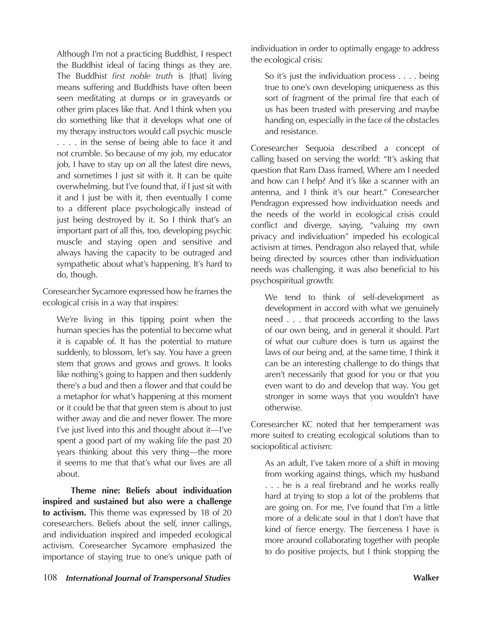Although I'm not a practicing Buddhist, I respect the Buddhist ideal of facing things as they are. The Buddhist *first noble truth* is [that] living means suffering and Buddhists have often been seen meditating at dumps or in graveyards or other grim places like that. And I think when you do something like that it develops what one of my therapy instructors would call psychic muscle . . . . in the sense of being able to face it and not crumble. So because of my job, my educator job, I have to stay up on all the latest dire news, and sometimes I just sit with it. It can be quite overwhelming, but I've found that, if I just sit with it and I just be with it, then eventually I come to a different place psychologically instead of just being destroyed by it. So I think that's an important part of all this, too, developing psychic muscle and staying open and sensitive and always having the capacity to be outraged and sympathetic about what's happening. It's hard to do, though.

Coresearcher Sycamore expressed how he frames the ecological crisis in a way that inspires:

We're living in this tipping point when the human species has the potential to become what it is capable of. It has the potential to mature suddenly, to blossom, let's say. You have a green stem that grows and grows and grows. It looks like nothing's going to happen and then suddenly there's a bud and then a flower and that could be a metaphor for what's happening at this moment or it could be that that green stem is about to just wither away and die and never flower. The more I've just lived into this and thought about it—I've spent a good part of my waking life the past 20 years thinking about this very thing—the more it seems to me that that's what our lives are all about.

**Theme nine: Beliefs about individuation inspired and sustained but also were a challenge to activism.** This theme was expressed by 18 of 20 coresearchers. Beliefs about the self, inner callings, and individuation inspired and impeded ecological activism. Coresearcher Sycamore emphasized the importance of staying true to one's unique path of

individuation in order to optimally engage to address the ecological crisis:

So it's just the individuation process . . . . being true to one's own developing uniqueness as this sort of fragment of the primal fire that each of us has been trusted with preserving and maybe handing on, especially in the face of the obstacles and resistance.

Coresearcher Sequoia described a concept of calling based on serving the world: "It's asking that question that Ram Dass framed, Where am I needed and how can I help? And it's like a scanner with an antenna, and I think it's our heart." Coresearcher Pendragon expressed how individuation needs and the needs of the world in ecological crisis could conflict and diverge, saying, "valuing my own privacy and individuation" impeded his ecological activism at times. Pendragon also relayed that, while being directed by sources other than individuation needs was challenging, it was also beneficial to his psychospiritual growth:

We tend to think of self-development as development in accord with what we genuinely need . . . that proceeds according to the laws of our own being, and in general it should. Part of what our culture does is turn us against the laws of our being and, at the same time, I think it can be an interesting challenge to do things that aren't necessarily that good for you or that you even want to do and develop that way. You get stronger in some ways that you wouldn't have otherwise.

Coresearcher KC noted that her temperament was more suited to creating ecological solutions than to sociopolitical activism:

As an adult, I've taken more of a shift in moving from working against things, which my husband . . . he is a real firebrand and he works really hard at trying to stop a lot of the problems that are going on. For me, I've found that I'm a little more of a delicate soul in that I don't have that kind of fierce energy. The fierceness I have is more around collaborating together with people to do positive projects, but I think stopping the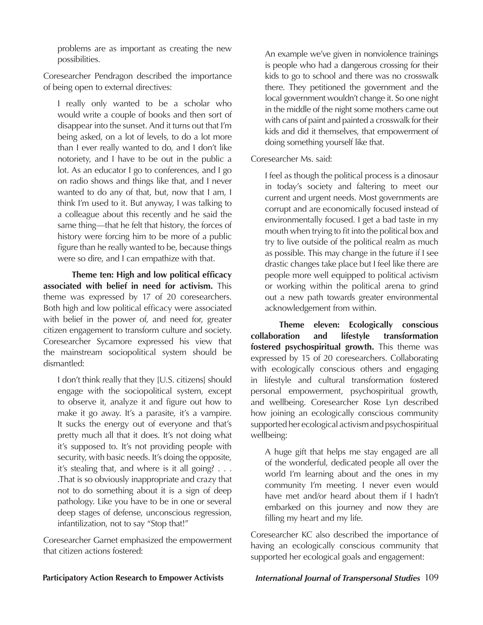problems are as important as creating the new possibilities.

Coresearcher Pendragon described the importance of being open to external directives:

I really only wanted to be a scholar who would write a couple of books and then sort of disappear into the sunset. And it turns out that I'm being asked, on a lot of levels, to do a lot more than I ever really wanted to do, and I don't like notoriety, and I have to be out in the public a lot. As an educator I go to conferences, and I go on radio shows and things like that, and I never wanted to do any of that, but, now that I am, I think I'm used to it. But anyway, I was talking to a colleague about this recently and he said the same thing—that he felt that history, the forces of history were forcing him to be more of a public figure than he really wanted to be, because things were so dire, and I can empathize with that.

**Theme ten: High and low political efficacy associated with belief in need for activism.** This theme was expressed by 17 of 20 coresearchers. Both high and low political efficacy were associated with belief in the power of, and need for, greater citizen engagement to transform culture and society. Coresearcher Sycamore expressed his view that the mainstream sociopolitical system should be dismantled:

I don't think really that they [U.S. citizens] should engage with the sociopolitical system, except to observe it, analyze it and figure out how to make it go away. It's a parasite, it's a vampire. It sucks the energy out of everyone and that's pretty much all that it does. It's not doing what it's supposed to. It's not providing people with security, with basic needs. It's doing the opposite, it's stealing that, and where is it all going? . . . .That is so obviously inappropriate and crazy that not to do something about it is a sign of deep pathology. Like you have to be in one or several deep stages of defense, unconscious regression, infantilization, not to say "Stop that!"

Coresearcher Garnet emphasized the empowerment that citizen actions fostered:

An example we've given in nonviolence trainings is people who had a dangerous crossing for their kids to go to school and there was no crosswalk there. They petitioned the government and the local government wouldn't change it. So one night in the middle of the night some mothers came out with cans of paint and painted a crosswalk for their kids and did it themselves, that empowerment of doing something yourself like that.

### Coresearcher Ms. said:

I feel as though the political process is a dinosaur in today's society and faltering to meet our current and urgent needs. Most governments are corrupt and are economically focused instead of environmentally focused. I get a bad taste in my mouth when trying to fit into the political box and try to live outside of the political realm as much as possible. This may change in the future if I see drastic changes take place but I feel like there are people more well equipped to political activism or working within the political arena to grind out a new path towards greater environmental acknowledgement from within.

**Theme eleven: Ecologically conscious collaboration and lifestyle transformation fostered psychospiritual growth.** This theme was expressed by 15 of 20 coresearchers. Collaborating with ecologically conscious others and engaging in lifestyle and cultural transformation fostered personal empowerment, psychospiritual growth, and wellbeing. Coresearcher Rose Lyn described how joining an ecologically conscious community supported her ecological activism and psychospiritual wellbeing:

A huge gift that helps me stay engaged are all of the wonderful, dedicated people all over the world I'm learning about and the ones in my community I'm meeting. I never even would have met and/or heard about them if I hadn't embarked on this journey and now they are filling my heart and my life.

Coresearcher KC also described the importance of having an ecologically conscious community that supported her ecological goals and engagement: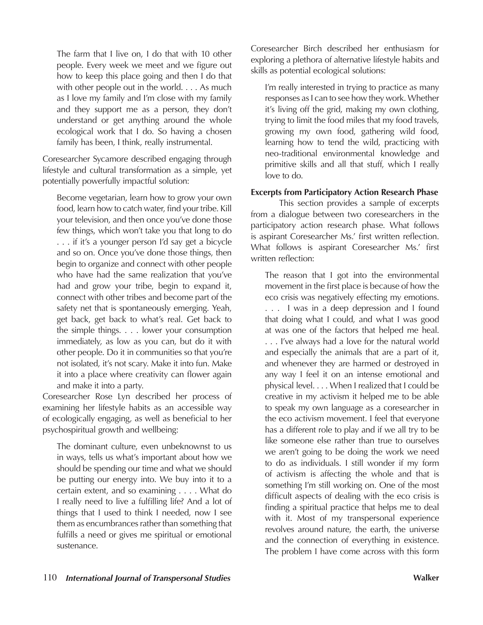The farm that I live on, I do that with 10 other people. Every week we meet and we figure out how to keep this place going and then I do that with other people out in the world. . . . As much as I love my family and I'm close with my family and they support me as a person, they don't understand or get anything around the whole ecological work that I do. So having a chosen family has been, I think, really instrumental.

Coresearcher Sycamore described engaging through lifestyle and cultural transformation as a simple, yet potentially powerfully impactful solution:

Become vegetarian, learn how to grow your own food, learn how to catch water, find your tribe. Kill your television, and then once you've done those few things, which won't take you that long to do . . . if it's a younger person I'd say get a bicycle and so on. Once you've done those things, then begin to organize and connect with other people who have had the same realization that you've had and grow your tribe, begin to expand it, connect with other tribes and become part of the safety net that is spontaneously emerging. Yeah, get back, get back to what's real. Get back to the simple things. . . . lower your consumption immediately, as low as you can, but do it with other people. Do it in communities so that you're not isolated, it's not scary. Make it into fun. Make it into a place where creativity can flower again and make it into a party.

Coresearcher Rose Lyn described her process of examining her lifestyle habits as an accessible way of ecologically engaging, as well as beneficial to her psychospiritual growth and wellbeing:

The dominant culture, even unbeknownst to us in ways, tells us what's important about how we should be spending our time and what we should be putting our energy into. We buy into it to a certain extent, and so examining . . . . What do I really need to live a fulfilling life? And a lot of things that I used to think I needed, now I see them as encumbrances rather than something that fulfills a need or gives me spiritual or emotional sustenance.

Coresearcher Birch described her enthusiasm for exploring a plethora of alternative lifestyle habits and skills as potential ecological solutions:

I'm really interested in trying to practice as many responses as I can to see how they work. Whether it's living off the grid, making my own clothing, trying to limit the food miles that my food travels, growing my own food, gathering wild food, learning how to tend the wild, practicing with neo-traditional environmental knowledge and primitive skills and all that stuff, which I really love to do.

### **Excerpts from Participatory Action Research Phase**

This section provides a sample of excerpts from a dialogue between two coresearchers in the participatory action research phase. What follows is aspirant Coresearcher Ms.' first written reflection. What follows is aspirant Coresearcher Ms.' first written reflection:

The reason that I got into the environmental movement in the first place is because of how the eco crisis was negatively effecting my emotions. . . . I was in a deep depression and I found that doing what I could, and what I was good at was one of the factors that helped me heal. . . . I've always had a love for the natural world and especially the animals that are a part of it, and whenever they are harmed or destroyed in any way I feel it on an intense emotional and physical level. . . . When I realized that I could be creative in my activism it helped me to be able to speak my own language as a coresearcher in the eco activism movement. I feel that everyone has a different role to play and if we all try to be like someone else rather than true to ourselves we aren't going to be doing the work we need to do as individuals. I still wonder if my form of activism is affecting the whole and that is something I'm still working on. One of the most difficult aspects of dealing with the eco crisis is finding a spiritual practice that helps me to deal with it. Most of my transpersonal experience revolves around nature, the earth, the universe and the connection of everything in existence. The problem I have come across with this form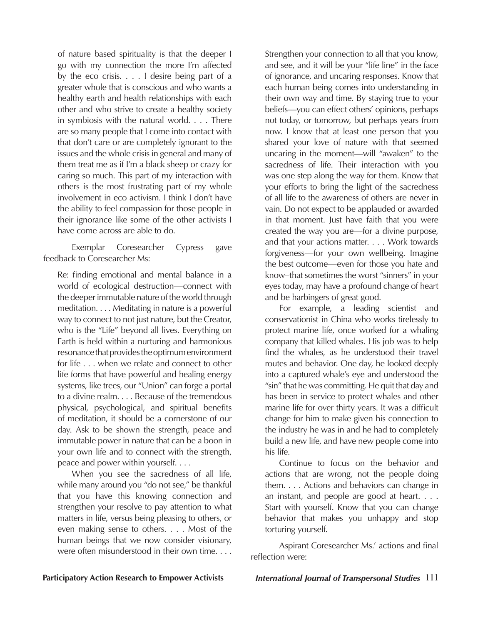of nature based spirituality is that the deeper I go with my connection the more I'm affected by the eco crisis. . . . I desire being part of a greater whole that is conscious and who wants a healthy earth and health relationships with each other and who strive to create a healthy society in symbiosis with the natural world. . . . There are so many people that I come into contact with that don't care or are completely ignorant to the issues and the whole crisis in general and many of them treat me as if I'm a black sheep or crazy for caring so much. This part of my interaction with others is the most frustrating part of my whole involvement in eco activism. I think I don't have the ability to feel compassion for those people in their ignorance like some of the other activists I have come across are able to do.

Exemplar Coresearcher Cypress gave feedback to Coresearcher Ms:

Re: finding emotional and mental balance in a world of ecological destruction—connect with the deeper immutable nature of the world through meditation. . . . Meditating in nature is a powerful way to connect to not just nature, but the Creator, who is the "Life" beyond all lives. Everything on Earth is held within a nurturing and harmonious resonance that provides the optimum environment for life . . . when we relate and connect to other life forms that have powerful and healing energy systems, like trees, our "Union" can forge a portal to a divine realm. . . . Because of the tremendous physical, psychological, and spiritual benefits of meditation, it should be a cornerstone of our day. Ask to be shown the strength, peace and immutable power in nature that can be a boon in your own life and to connect with the strength, peace and power within yourself. . . .

When you see the sacredness of all life, while many around you "do not see," be thankful that you have this knowing connection and strengthen your resolve to pay attention to what matters in life, versus being pleasing to others, or even making sense to others. . . . Most of the human beings that we now consider visionary, were often misunderstood in their own time. . . .

Strengthen your connection to all that you know, and see, and it will be your "life line" in the face of ignorance, and uncaring responses. Know that each human being comes into understanding in their own way and time. By staying true to your beliefs—you can effect others' opinions, perhaps not today, or tomorrow, but perhaps years from now. I know that at least one person that you shared your love of nature with that seemed uncaring in the moment—will "awaken" to the sacredness of life. Their interaction with you was one step along the way for them. Know that your efforts to bring the light of the sacredness of all life to the awareness of others are never in vain. Do not expect to be applauded or awarded in that moment. Just have faith that you were created the way you are—for a divine purpose, and that your actions matter. . . . Work towards forgiveness—for your own wellbeing. Imagine the best outcome—even for those you hate and know–that sometimes the worst "sinners" in your eyes today, may have a profound change of heart and be harbingers of great good.

For example, a leading scientist and conservationist in China who works tirelessly to protect marine life, once worked for a whaling company that killed whales. His job was to help find the whales, as he understood their travel routes and behavior. One day, he looked deeply into a captured whale's eye and understood the "sin" that he was committing. He quit that day and has been in service to protect whales and other marine life for over thirty years. It was a difficult change for him to make given his connection to the industry he was in and he had to completely build a new life, and have new people come into his life.

Continue to focus on the behavior and actions that are wrong, not the people doing them. . . . Actions and behaviors can change in an instant, and people are good at heart. . . . Start with yourself. Know that you can change behavior that makes you unhappy and stop torturing yourself.

Aspirant Coresearcher Ms.' actions and final reflection were: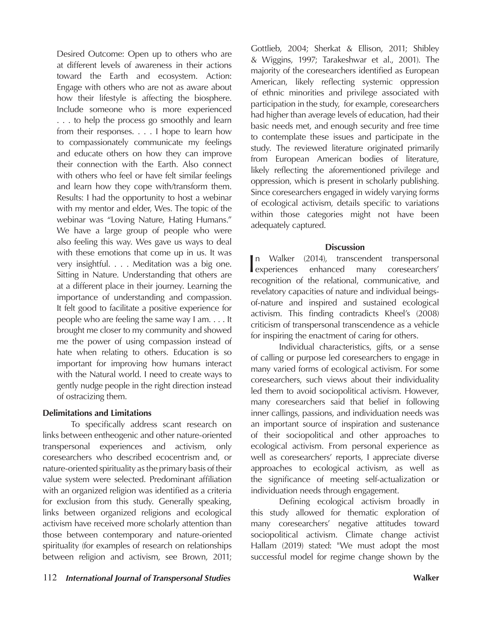Desired Outcome: Open up to others who are at different levels of awareness in their actions toward the Earth and ecosystem. Action: Engage with others who are not as aware about how their lifestyle is affecting the biosphere. Include someone who is more experienced ... to help the process go smoothly and learn from their responses. . . . I hope to learn how to compassionately communicate my feelings and educate others on how they can improve their connection with the Earth. Also connect with others who feel or have felt similar feelings and learn how they cope with/transform them. Results: I had the opportunity to host a webinar with my mentor and elder, Wes. The topic of the webinar was "Loving Nature, Hating Humans." We have a large group of people who were also feeling this way. Wes gave us ways to deal with these emotions that come up in us. It was very insightful. . . . Meditation was a big one. Sitting in Nature. Understanding that others are at a different place in their journey. Learning the importance of understanding and compassion. It felt good to facilitate a positive experience for people who are feeling the same way I am. . . . It brought me closer to my community and showed me the power of using compassion instead of hate when relating to others. Education is so important for improving how humans interact with the Natural world. I need to create ways to gently nudge people in the right direction instead of ostracizing them.

### **Delimitations and Limitations**

To specifically address scant research on links between entheogenic and other nature-oriented transpersonal experiences and activism, only coresearchers who described ecocentrism and, or nature-oriented spirituality as the primary basis of their value system were selected. Predominant affiliation with an organized religion was identified as a criteria for exclusion from this study. Generally speaking, links between organized religions and ecological activism have received more scholarly attention than those between contemporary and nature-oriented spirituality (for examples of research on relationships between religion and activism, see Brown, 2011;

Gottlieb, 2004; Sherkat & Ellison, 2011; Shibley & Wiggins, 1997; Tarakeshwar et al., 2001). The majority of the coresearchers identified as European American, likely reflecting systemic oppression of ethnic minorities and privilege associated with participation in the study, for example, coresearchers had higher than average levels of education, had their basic needs met, and enough security and free time to contemplate these issues and participate in the study. The reviewed literature originated primarily from European American bodies of literature, likely reflecting the aforementioned privilege and oppression, which is present in scholarly publishing. Since coresearchers engaged in widely varying forms of ecological activism, details specific to variations within those categories might not have been adequately captured.

### **Discussion**

**L**experiences n Walker (2014), transcendent transpersonal enhanced many coresearchers' recognition of the relational, communicative, and revelatory capacities of nature and individual beingsof-nature and inspired and sustained ecological activism. This finding contradicts Kheel's (2008) criticism of transpersonal transcendence as a vehicle for inspiring the enactment of caring for others.

Individual characteristics, gifts, or a sense of calling or purpose led coresearchers to engage in many varied forms of ecological activism. For some coresearchers, such views about their individuality led them to avoid sociopolitical activism. However, many coresearchers said that belief in following inner callings, passions, and individuation needs was an important source of inspiration and sustenance of their sociopolitical and other approaches to ecological activism. From personal experience as well as coresearchers' reports, I appreciate diverse approaches to ecological activism, as well as the significance of meeting self-actualization or individuation needs through engagement.

Defining ecological activism broadly in this study allowed for thematic exploration of many coresearchers' negative attitudes toward sociopolitical activism. Climate change activist Hallam (2019) stated: "We must adopt the most successful model for regime change shown by the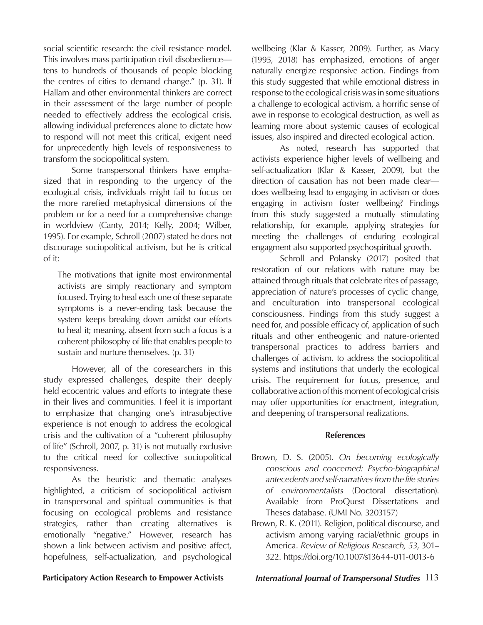social scientific research: the civil resistance model. This involves mass participation civil disobedience tens to hundreds of thousands of people blocking the centres of cities to demand change." (p. 31). If Hallam and other environmental thinkers are correct in their assessment of the large number of people needed to effectively address the ecological crisis, allowing individual preferences alone to dictate how to respond will not meet this critical, exigent need for unprecedently high levels of responsiveness to transform the sociopolitical system.

Some transpersonal thinkers have emphasized that in responding to the urgency of the ecological crisis, individuals might fail to focus on the more rarefied metaphysical dimensions of the problem or for a need for a comprehensive change in worldview (Canty, 2014; Kelly, 2004; Wilber, 1995). For example, Schroll (2007) stated he does not discourage sociopolitical activism, but he is critical of it:

The motivations that ignite most environmental activists are simply reactionary and symptom focused. Trying to heal each one of these separate symptoms is a never-ending task because the system keeps breaking down amidst our efforts to heal it; meaning, absent from such a focus is a coherent philosophy of life that enables people to sustain and nurture themselves. (p. 31)

However, all of the coresearchers in this study expressed challenges, despite their deeply held ecocentric values and efforts to integrate these in their lives and communities. I feel it is important to emphasize that changing one's intrasubjective experience is not enough to address the ecological crisis and the cultivation of a "coherent philosophy of life" (Schroll, 2007, p. 31) is not mutually exclusive to the critical need for collective sociopolitical responsiveness.

As the heuristic and thematic analyses highlighted, a criticism of sociopolitical activism in transpersonal and spiritual communities is that focusing on ecological problems and resistance strategies, rather than creating alternatives is emotionally "negative." However, research has shown a link between activism and positive affect, hopefulness, self-actualization, and psychological

wellbeing (Klar & Kasser, 2009). Further, as Macy (1995, 2018) has emphasized, emotions of anger naturally energize responsive action. Findings from this study suggested that while emotional distress in response to the ecological crisis was in some situations a challenge to ecological activism, a horrific sense of awe in response to ecological destruction, as well as learning more about systemic causes of ecological issues, also inspired and directed ecological action.

As noted, research has supported that activists experience higher levels of wellbeing and self-actualization (Klar & Kasser, 2009), but the direction of causation has not been made clear does wellbeing lead to engaging in activism or does engaging in activism foster wellbeing? Findings from this study suggested a mutually stimulating relationship, for example, applying strategies for meeting the challenges of enduring ecological engagment also supported psychospiritual growth.

Schroll and Polansky (2017) posited that restoration of our relations with nature may be attained through rituals that celebrate rites of passage, appreciation of nature's processes of cyclic change, and enculturation into transpersonal ecological consciousness. Findings from this study suggest a need for, and possible efficacy of, application of such rituals and other entheogenic and nature-oriented transpersonal practices to address barriers and challenges of activism, to address the sociopolitical systems and institutions that underly the ecological crisis. The requirement for focus, presence, and collaborative action of this moment of ecological crisis may offer opportunities for enactment, integration, and deepening of transpersonal realizations.

### **References**

- Brown, D. S. (2005). *On becoming ecologically conscious and concerned: Psycho-biographical antecedents and self-narratives from the life stories of environmentalists* (Doctoral dissertation). Available from ProQuest Dissertations and Theses database. (UMI No. 3203157)
- Brown, R. K. (2011). Religion, political discourse, and activism among varying racial/ethnic groups in America. *Review of Religious Research, 53*, 301– 322. https://doi.org/10.1007/s13644-011-0013-6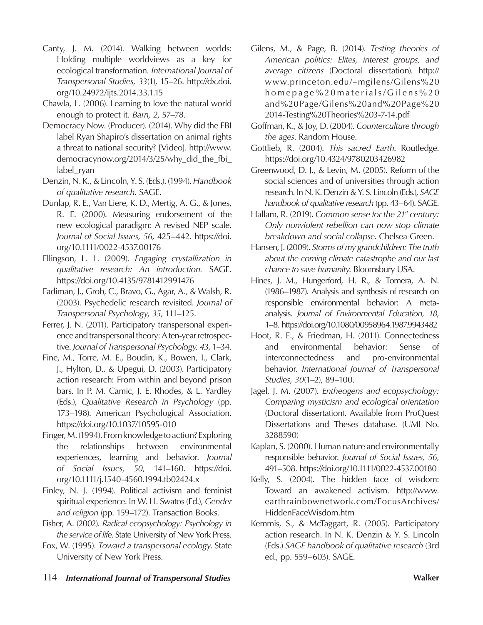- Canty, J. M. (2014). Walking between worlds: Holding multiple worldviews as a key for ecological transformation*. International Journal of Transpersonal Studies, 33*(1), 15–26. http://dx.doi. org/10.24972/ijts.2014.33.1.15
- Chawla, L. (2006). Learning to love the natural world enough to protect it. *Barn, 2*, 57–78.
- Democracy Now. (Producer). (2014). Why did the FBI label Ryan Shapiro's dissertation on animal rights a threat to national security? [Video]. http://www. democracynow.org/2014/3/25/why\_did\_the\_fbi\_ label\_ryan
- Denzin, N. K., & Lincoln, Y. S. (Eds.). (1994). *Handbook of qualitative research*. SAGE.
- Dunlap, R. E., Van Liere, K. D., Mertig, A. G., & Jones, R. E. (2000). Measuring endorsement of the new ecological paradigm: A revised NEP scale. *Journal of Social Issues, 56,* 425–442. https://doi. org/10.1111/0022-4537.00176
- Ellingson, L. L. (2009). *Engaging crystallization in qualitative research: An introduction.* SAGE. https://doi.org/10.4135/9781412991476
- Fadiman, J., Grob, C., Bravo, G., Agar, A., & Walsh, R. (2003). Psychedelic research revisited. *Journal of Transpersonal Psychology*, *35*, 111–125.
- Ferrer, J. N. (2011). Participatory transpersonal experience and transpersonal theory: A ten-year retrospective. *Journal of Transpersonal Psychology, 43*, 1–34.
- Fine, M., Torre, M. E., Boudin, K., Bowen, I., Clark, J., Hylton, D., & Upegui, D. (2003). Participatory action research: From within and beyond prison bars. In P. M. Camic, J. E. Rhodes, & L. Yardley (Eds.), *Qualitative Research in Psychology* (pp. 173–198). American Psychological Association. https://doi.org/10.1037/10595-010
- Finger, M. (1994). From knowledge to action? Exploring the relationships between environmental experiences, learning and behavior. *Journal of Social Issues, 50*, 141–160. https://doi. org/10.1111/j.1540-4560.1994.tb02424.x
- Finley, N. J. (1994). Political activism and feminist spiritual experience. In W. H. Swatos (Ed.), *Gender and religion* (pp. 159–172). Transaction Books.
- Fisher, A. (2002). *Radical ecopsychology: Psychology in the service of life*. State University of New York Press.
- Fox, W. (1995). *Toward a transpersonal ecology*. State University of New York Press.
- Gilens, M., & Page, B. (2014). *Testing theories of American politics: Elites, interest groups, and average citizens* (Doctoral dissertation). http:// www.princeton.edu/~mgilens/Gilens%20 homepage%20materials/Gilens%20 and%20Page/Gilens%20and%20Page%20 2014-Testing%20Theories%203-7-14.pdf
- Goffman, K., & Joy, D. (2004). *Counterculture through the ages*. Random House.
- Gottlieb, R. (2004). *This sacred Earth*. Routledge. https://doi.org/10.4324/9780203426982
- Greenwood, D. J., & Levin, M. (2005). Reform of the social sciences and of universities through action research. In N. K. Denzin & Y. S. Lincoln (Eds.), *SAGE handbook of qualitative research* (pp. 43–64). SAGE.
- Hallam, R. (2019). *Common sense for the 21st century: Only nonviolent rebellion can now stop climate breakdown and social collapse*. Chelsea Green.
- Hansen, J. (2009). *Storms of my grandchildren: The truth about the coming climate catastrophe and our last chance to save humanity*. Bloomsbury USA.
- Hines, J. M., Hungerford, H. R., & Tomera, A. N. (1986–1987). Analysis and synthesis of research on responsible environmental behavior: A metaanalysis. *Journal of Environmental Education, 18*, 1–8. https://doi.org/10.1080/00958964.1987.9943482
- Hoot, R. E., & Friedman, H. (2011). Connectedness and environmental behavior: Sense of interconnectedness and pro-environmental behavior. *International Journal of Transpersonal Studies*, *30*(1–2), 89–100.
- Jagel, J. M. (2007). *Entheogens and ecopsychology: Comparing mysticism and ecological orientation* (Doctoral dissertation). Available from ProQuest Dissertations and Theses database. (UMI No. 3288590)
- Kaplan, S. (2000). Human nature and environmentally responsible behavior. *Journal of Social Issues, 56,*  491–508. https://doi.org/10.1111/0022-4537.00180
- Kelly, S. (2004). The hidden face of wisdom: Toward an awakened activism. http://www. earthrainbownetwork.com/FocusArchives/ HiddenFaceWisdom.htm
- Kemmis, S., & McTaggart, R. (2005). Participatory action research. In N. K. Denzin & Y. S. Lincoln (Eds.) *SAGE handbook of qualitative research* (3rd ed., pp. 559–603). SAGE.
- 114 *International Journal of Transpersonal Studies* **Walker**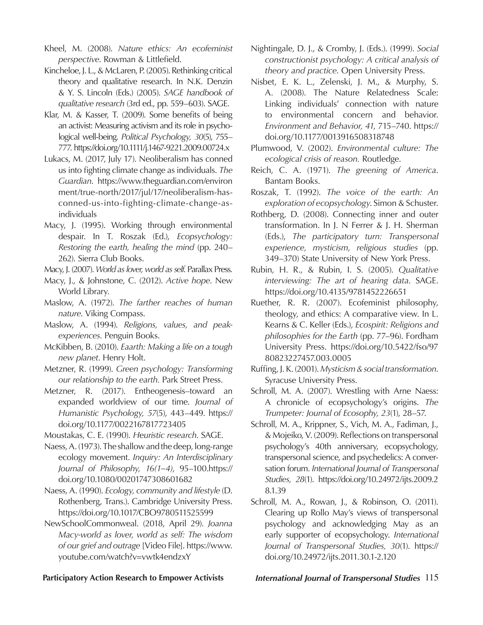Kheel, M. (2008). *Nature ethics: An ecofeminist perspective*. Rowman & Littlefield.

- Kincheloe, J. L., & McLaren, P. (2005). Rethinking critical theory and qualitative research. In N.K. Denzin & Y. S. Lincoln (Eds.) (2005). *SAGE handbook of qualitative research* (3rd ed., pp. 559–603). SAGE.
- Klar, M. & Kasser, T. (2009). Some benefits of being an activist: Measuring activism and its role in psychological well-being. *Political Psychology, 30*(5), 755– 777. https://doi.org/10.1111/j.1467-9221.2009.00724.x
- Lukacs, M. (2017, July 17). Neoliberalism has conned us into fighting climate change as individuals. *The Guardian*. https://www.theguardian.com/environ ment/true-north/2017/jul/17/neoliberalism-hasconned-us-into-fighting-climate-change-asindividuals
- Macy, J. (1995). Working through environmental despair. In T. Roszak (Ed.), *Ecopsychology: Restoring the earth, healing the mind* (pp. 240– 262). Sierra Club Books.

Macy, J. (2007). *World as lover, world as self*. Parallax Press.

- Macy, J., & Johnstone, C. (2012). *Active hope*. New World Library.
- Maslow, A. (1972). *The farther reaches of human nature*. Viking Compass.
- Maslow, A. (1994). *Religions, values, and peakexperiences*. Penguin Books.
- McKibben, B. (2010). *Eaarth: Making a life on a tough new planet*. Henry Holt.
- Metzner, R. (1999). *Green psychology: Transforming our relationship to the earth.* Park Street Press.
- Metzner, R. (2017). Entheogenesis–toward an expanded worldview of our time. *Journal of Humanistic Psychology, 57*(5), 443–449. https:// doi.org/10.1177/0022167817723405
- Moustakas, C. E. (1990). *H*e*uristic research*. SAGE.
- Naess, A. (1973). The shallow and the deep, long-range ecology movement. *Inquiry: An Interdisciplinary Journal of Philosophy, 16(1–4)*, 95–100.https:// doi.org/10.1080/00201747308601682
- Naess, A. (1990). *Ecology, community and lifestyle* (D. Rothenberg, Trans*.*). Cambridge University Press. https://doi.org/10.1017/CBO9780511525599
- NewSchoolCommonweal. (2018, April 29). *Joanna Macy-world as lover, world as self: The wisdom of our grief and outrage* [Video File]. https://www. youtube.com/watch?v=vwtk4endzxY
- Nightingale, D. J., & Cromby, J. (Eds.). (1999). *Social constructionist psychology: A critical analysis of theory and practice*. Open University Press.
- Nisbet, E. K. L., Zelenski, J. M., & Murphy, S. A. (2008). The Nature Relatedness Scale: Linking individuals' connection with nature to environmental concern and behavior. *Environment and Behavior, 41*, 715–740. https:// doi.org/10.1177/0013916508318748
- Plumwood, V. (2002). *Environmental culture: The ecological crisis of reason.* Routledge.
- Reich, C. A. (1971). *The greening of America*. Bantam Books.
- Roszak, T. (1992). *The voice of the earth: An exploration of ecopsychology*. Simon & Schuster.
- Rothberg, D. (2008). Connecting inner and outer transformation. In J. N Ferrer & J. H. Sherman (Eds.), *The participatory turn: Transpersonal experience, mysticism, religious studies* (pp. 349–370) State University of New York Press.
- Rubin, H. R., & Rubin, I. S. (2005). *Qualitative interviewing: The art of hearing data*. SAGE. https://doi.org/10.4135/9781452226651
- Ruether, R. R. (2007). Ecofeminist philosophy, theology, and ethics: A comparative view. In L. Kearns & C. Keller (Eds.), *Ecospirit: Religions and philosophies for the Earth* (pp. 77–96). Fordham University Press. https://doi.org/10.5422/fso/97 80823227457.003.0005
- Ruffing, J. K. (2001). *Mysticism & social transformation*. Syracuse University Press.
- Schroll, M. A. (2007). Wrestling with Arne Naess: A chronicle of ecopsychology's origins. *The Trumpeter: Journal of Ecosophy, 23*(1), 28–57.
- Schroll, M. A., Krippner, S., Vich, M. A., Fadiman, J., & Mojeiko, V. (2009). Reflections on transpersonal psychology's 40th anniversary, ecopsychology, transpersonal science, and psychedelics: A conversation forum. *International Journal of Transpersonal Studies, 28*(1). https://doi.org/10.24972/ijts.2009.2 8.1.39
- Schroll, M. A., Rowan, J., & Robinson, O. (2011). Clearing up Rollo May's views of transpersonal psychology and acknowledging May as an early supporter of ecopsychology. *International Journal of Transpersonal Studies, 30*(1). https:// doi.org/10.24972/ijts.2011.30.1-2.120